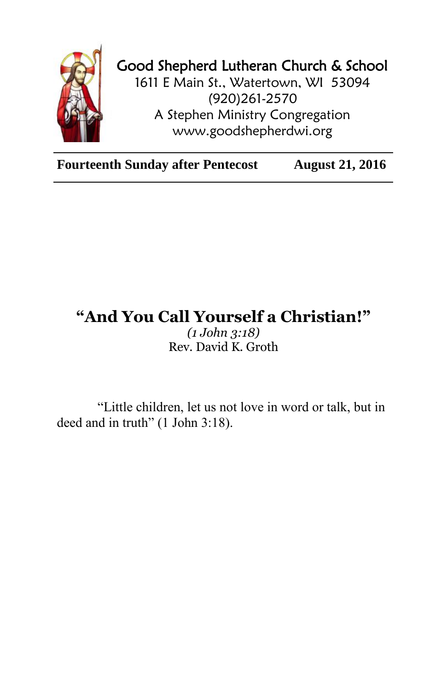

## Good Shepherd Lutheran Church & School

1611 E Main St., Watertown, WI 53094 (920)261-2570 A Stephen Ministry Congregation [www.goodshepherdwi.org](http://www.goodshepherdwi.org/)

**Fourteenth Sunday after Pentecost August 21, 2016**

## **"And You Call Yourself a Christian!"**

*(1 John 3:18)* Rev. David K. Groth

"Little children, let us not love in word or talk, but in deed and in truth" (1 John 3:18).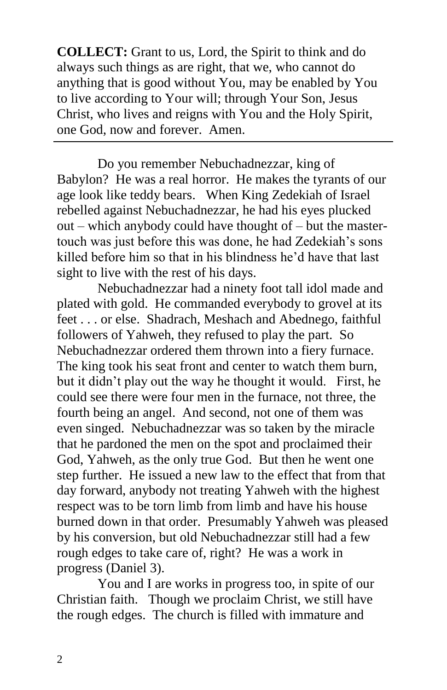**COLLECT:** Grant to us, Lord, the Spirit to think and do always such things as are right, that we, who cannot do anything that is good without You, may be enabled by You to live according to Your will; through Your Son, Jesus Christ, who lives and reigns with You and the Holy Spirit, one God, now and forever. Amen.

Do you remember Nebuchadnezzar, king of Babylon? He was a real horror. He makes the tyrants of our age look like teddy bears. When King Zedekiah of Israel rebelled against Nebuchadnezzar, he had his eyes plucked out – which anybody could have thought of – but the mastertouch was just before this was done, he had Zedekiah's sons killed before him so that in his blindness he'd have that last sight to live with the rest of his days.

Nebuchadnezzar had a ninety foot tall idol made and plated with gold. He commanded everybody to grovel at its feet . . . or else. Shadrach, Meshach and Abednego, faithful followers of Yahweh, they refused to play the part. So Nebuchadnezzar ordered them thrown into a fiery furnace. The king took his seat front and center to watch them burn, but it didn't play out the way he thought it would. First, he could see there were four men in the furnace, not three, the fourth being an angel. And second, not one of them was even singed. Nebuchadnezzar was so taken by the miracle that he pardoned the men on the spot and proclaimed their God, Yahweh, as the only true God. But then he went one step further. He issued a new law to the effect that from that day forward, anybody not treating Yahweh with the highest respect was to be torn limb from limb and have his house burned down in that order. Presumably Yahweh was pleased by his conversion, but old Nebuchadnezzar still had a few rough edges to take care of, right? He was a work in progress (Daniel 3).

You and I are works in progress too, in spite of our Christian faith. Though we proclaim Christ, we still have the rough edges. The church is filled with immature and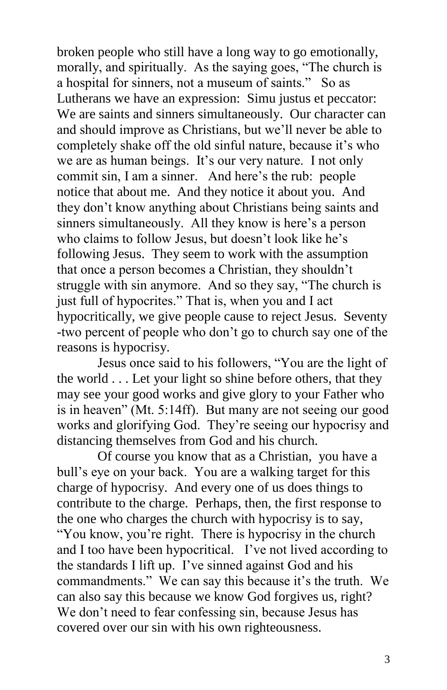broken people who still have a long way to go emotionally, morally, and spiritually. As the saying goes, "The church is a hospital for sinners, not a museum of saints." So as Lutherans we have an expression: Simu justus et peccator: We are saints and sinners simultaneously. Our character can and should improve as Christians, but we'll never be able to completely shake off the old sinful nature, because it's who we are as human beings. It's our very nature. I not only commit sin, I am a sinner. And here's the rub: people notice that about me. And they notice it about you. And they don't know anything about Christians being saints and sinners simultaneously. All they know is here's a person who claims to follow Jesus, but doesn't look like he's following Jesus. They seem to work with the assumption that once a person becomes a Christian, they shouldn't struggle with sin anymore. And so they say, "The church is just full of hypocrites." That is, when you and I act hypocritically, we give people cause to reject Jesus. Seventy -two percent of people who don't go to church say one of the reasons is hypocrisy.

Jesus once said to his followers, "You are the light of the world . . . Let your light so shine before others, that they may see your good works and give glory to your Father who is in heaven" (Mt. 5:14ff). But many are not seeing our good works and glorifying God. They're seeing our hypocrisy and distancing themselves from God and his church.

Of course you know that as a Christian, you have a bull's eye on your back. You are a walking target for this charge of hypocrisy. And every one of us does things to contribute to the charge. Perhaps, then, the first response to the one who charges the church with hypocrisy is to say, "You know, you're right. There is hypocrisy in the church and I too have been hypocritical. I've not lived according to the standards I lift up. I've sinned against God and his commandments." We can say this because it's the truth. We can also say this because we know God forgives us, right? We don't need to fear confessing sin, because Jesus has covered over our sin with his own righteousness.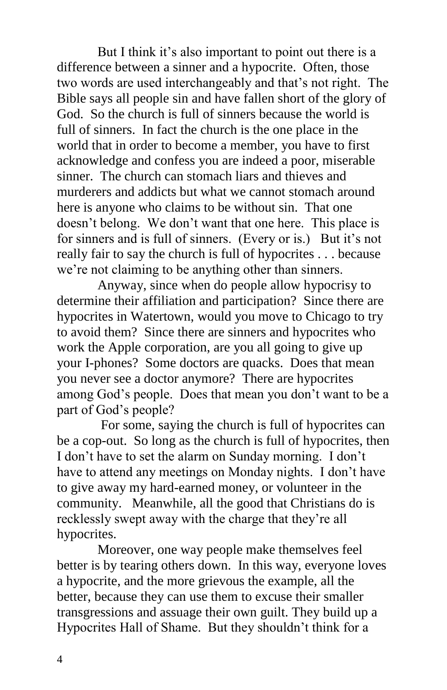But I think it's also important to point out there is a difference between a sinner and a hypocrite. Often, those two words are used interchangeably and that's not right. The Bible says all people sin and have fallen short of the glory of God. So the church is full of sinners because the world is full of sinners. In fact the church is the one place in the world that in order to become a member, you have to first acknowledge and confess you are indeed a poor, miserable sinner. The church can stomach liars and thieves and murderers and addicts but what we cannot stomach around here is anyone who claims to be without sin. That one doesn't belong. We don't want that one here. This place is for sinners and is full of sinners. (Every or is.) But it's not really fair to say the church is full of hypocrites . . . because we're not claiming to be anything other than sinners.

Anyway, since when do people allow hypocrisy to determine their affiliation and participation? Since there are hypocrites in Watertown, would you move to Chicago to try to avoid them? Since there are sinners and hypocrites who work the Apple corporation, are you all going to give up your I-phones? Some doctors are quacks. Does that mean you never see a doctor anymore? There are hypocrites among God's people. Does that mean you don't want to be a part of God's people?

For some, saying the church is full of hypocrites can be a cop-out. So long as the church is full of hypocrites, then I don't have to set the alarm on Sunday morning. I don't have to attend any meetings on Monday nights. I don't have to give away my hard-earned money, or volunteer in the community. Meanwhile, all the good that Christians do is recklessly swept away with the charge that they're all hypocrites.

Moreover, one way people make themselves feel better is by tearing others down. In this way, everyone loves a hypocrite, and the more grievous the example, all the better, because they can use them to excuse their smaller transgressions and assuage their own guilt. They build up a Hypocrites Hall of Shame. But they shouldn't think for a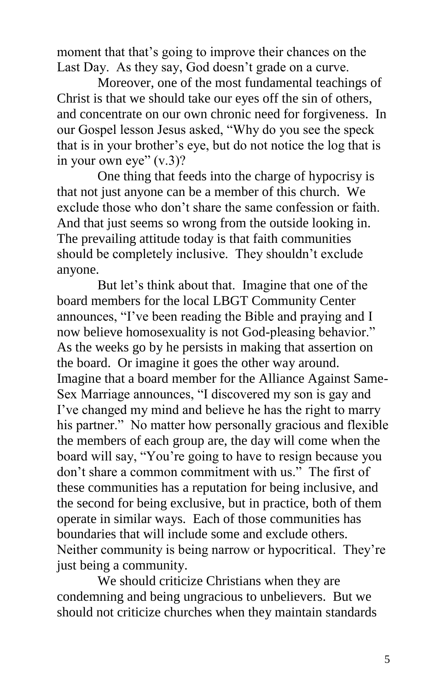moment that that's going to improve their chances on the Last Day. As they say, God doesn't grade on a curve.

Moreover, one of the most fundamental teachings of Christ is that we should take our eyes off the sin of others, and concentrate on our own chronic need for forgiveness. In our Gospel lesson Jesus asked, "Why do you see the speck that is in your brother's eye, but do not notice the log that is in your own eye"  $(v.3)$ ?

One thing that feeds into the charge of hypocrisy is that not just anyone can be a member of this church. We exclude those who don't share the same confession or faith. And that just seems so wrong from the outside looking in. The prevailing attitude today is that faith communities should be completely inclusive. They shouldn't exclude anyone.

But let's think about that. Imagine that one of the board members for the local LBGT Community Center announces, "I've been reading the Bible and praying and I now believe homosexuality is not God-pleasing behavior." As the weeks go by he persists in making that assertion on the board. Or imagine it goes the other way around. Imagine that a board member for the Alliance Against Same-Sex Marriage announces, "I discovered my son is gay and I've changed my mind and believe he has the right to marry his partner." No matter how personally gracious and flexible the members of each group are, the day will come when the board will say, "You're going to have to resign because you don't share a common commitment with us." The first of these communities has a reputation for being inclusive, and the second for being exclusive, but in practice, both of them operate in similar ways. Each of those communities has boundaries that will include some and exclude others. Neither community is being narrow or hypocritical. They're just being a community.

We should criticize Christians when they are condemning and being ungracious to unbelievers. But we should not criticize churches when they maintain standards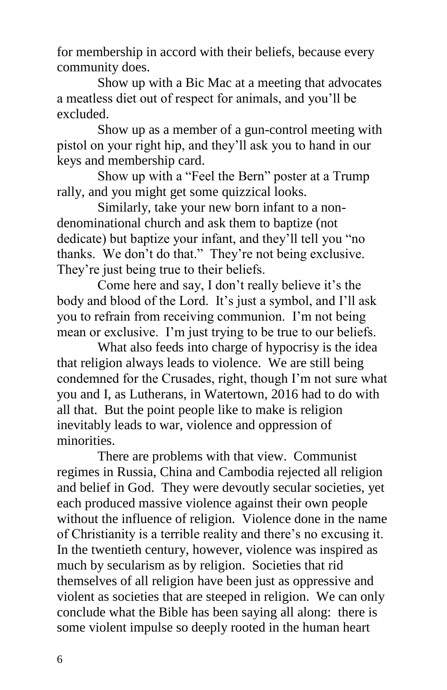for membership in accord with their beliefs, because every community does.

Show up with a Bic Mac at a meeting that advocates a meatless diet out of respect for animals, and you'll be excluded.

Show up as a member of a gun-control meeting with pistol on your right hip, and they'll ask you to hand in our keys and membership card.

Show up with a "Feel the Bern" poster at a Trump rally, and you might get some quizzical looks.

Similarly, take your new born infant to a nondenominational church and ask them to baptize (not dedicate) but baptize your infant, and they'll tell you "no thanks. We don't do that." They're not being exclusive. They're just being true to their beliefs.

Come here and say, I don't really believe it's the body and blood of the Lord. It's just a symbol, and I'll ask you to refrain from receiving communion. I'm not being mean or exclusive. I'm just trying to be true to our beliefs.

What also feeds into charge of hypocrisy is the idea that religion always leads to violence. We are still being condemned for the Crusades, right, though I'm not sure what you and I, as Lutherans, in Watertown, 2016 had to do with all that. But the point people like to make is religion inevitably leads to war, violence and oppression of minorities.

There are problems with that view. Communist regimes in Russia, China and Cambodia rejected all religion and belief in God. They were devoutly secular societies, yet each produced massive violence against their own people without the influence of religion. Violence done in the name of Christianity is a terrible reality and there's no excusing it. In the twentieth century, however, violence was inspired as much by secularism as by religion. Societies that rid themselves of all religion have been just as oppressive and violent as societies that are steeped in religion. We can only conclude what the Bible has been saying all along: there is some violent impulse so deeply rooted in the human heart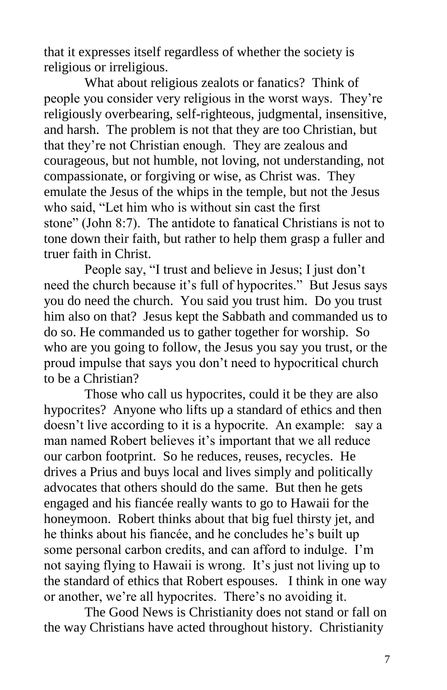that it expresses itself regardless of whether the society is religious or irreligious.

What about religious zealots or fanatics? Think of people you consider very religious in the worst ways. They're religiously overbearing, self-righteous, judgmental, insensitive, and harsh. The problem is not that they are too Christian, but that they're not Christian enough. They are zealous and courageous, but not humble, not loving, not understanding, not compassionate, or forgiving or wise, as Christ was. They emulate the Jesus of the whips in the temple, but not the Jesus who said, "Let him who is without sin cast the first stone" (John 8:7). The antidote to fanatical Christians is not to tone down their faith, but rather to help them grasp a fuller and truer faith in Christ.

People say, "I trust and believe in Jesus; I just don't need the church because it's full of hypocrites." But Jesus says you do need the church. You said you trust him. Do you trust him also on that? Jesus kept the Sabbath and commanded us to do so. He commanded us to gather together for worship. So who are you going to follow, the Jesus you say you trust, or the proud impulse that says you don't need to hypocritical church to be a Christian?

Those who call us hypocrites, could it be they are also hypocrites? Anyone who lifts up a standard of ethics and then doesn't live according to it is a hypocrite. An example: say a man named Robert believes it's important that we all reduce our carbon footprint. So he reduces, reuses, recycles. He drives a Prius and buys local and lives simply and politically advocates that others should do the same. But then he gets engaged and his fiancée really wants to go to Hawaii for the honeymoon. Robert thinks about that big fuel thirsty jet, and he thinks about his fiancée, and he concludes he's built up some personal carbon credits, and can afford to indulge. I'm not saying flying to Hawaii is wrong. It's just not living up to the standard of ethics that Robert espouses. I think in one way or another, we're all hypocrites. There's no avoiding it.

The Good News is Christianity does not stand or fall on the way Christians have acted throughout history. Christianity